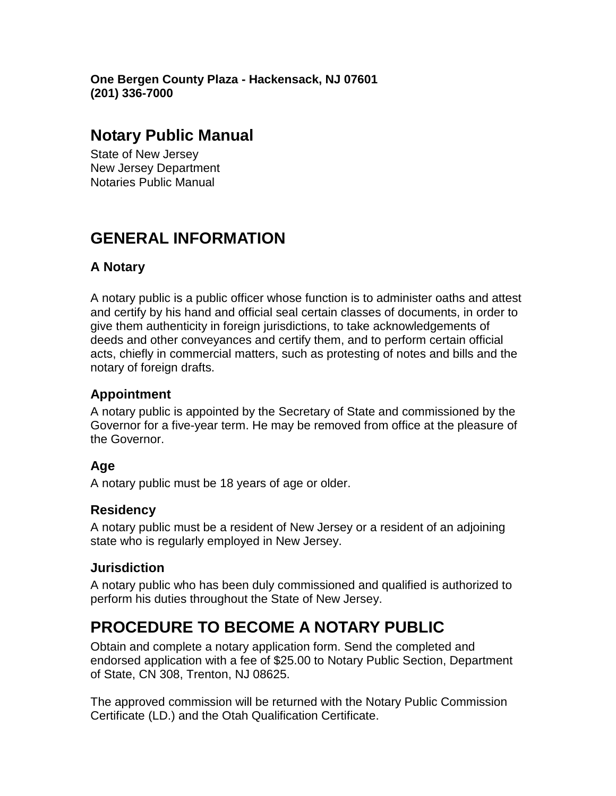**One Bergen County Plaza - Hackensack, NJ 07601 (201) 336-7000**

### **Notary Public Manual**

State of New Jersey New Jersey Department Notaries Public Manual

# **GENERAL INFORMATION**

### **A Notary**

A notary public is a public officer whose function is to administer oaths and attest and certify by his hand and official seal certain classes of documents, in order to give them authenticity in foreign jurisdictions, to take acknowledgements of deeds and other conveyances and certify them, and to perform certain official acts, chiefly in commercial matters, such as protesting of notes and bills and the notary of foreign drafts.

### **Appointment**

A notary public is appointed by the Secretary of State and commissioned by the Governor for a five-year term. He may be removed from office at the pleasure of the Governor.

### **Age**

A notary public must be 18 years of age or older.

### **Residency**

A notary public must be a resident of New Jersey or a resident of an adjoining state who is regularly employed in New Jersey.

### **Jurisdiction**

A notary public who has been duly commissioned and qualified is authorized to perform his duties throughout the State of New Jersey.

## **PROCEDURE TO BECOME A NOTARY PUBLIC**

Obtain and complete a notary application form. Send the completed and endorsed application with a fee of \$25.00 to Notary Public Section, Department of State, CN 308, Trenton, NJ 08625.

The approved commission will be returned with the Notary Public Commission Certificate (LD.) and the Otah Qualification Certificate.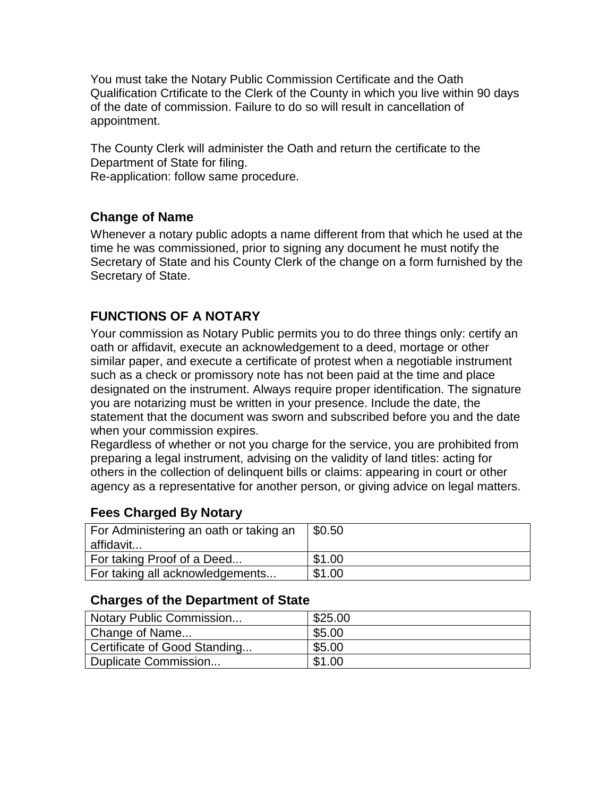You must take the Notary Public Commission Certificate and the Oath Qualification Crtificate to the Clerk of the County in which you live within 90 days of the date of commission. Failure to do so will result in cancellation of appointment.

The County Clerk will administer the Oath and return the certificate to the Department of State for filing.

Re-application: follow same procedure.

#### **Change of Name**

Whenever a notary public adopts a name different from that which he used at the time he was commissioned, prior to signing any document he must notify the Secretary of State and his County Clerk of the change on a form furnished by the Secretary of State.

### **FUNCTIONS OF A NOTARY**

Your commission as Notary Public permits you to do three things only: certify an oath or affidavit, execute an acknowledgement to a deed, mortage or other similar paper, and execute a certificate of protest when a negotiable instrument such as a check or promissory note has not been paid at the time and place designated on the instrument. Always require proper identification. The signature you are notarizing must be written in your presence. Include the date, the statement that the document was sworn and subscribed before you and the date when your commission expires.

Regardless of whether or not you charge for the service, you are prohibited from preparing a legal instrument, advising on the validity of land titles: acting for others in the collection of delinquent bills or claims: appearing in court or other agency as a representative for another person, or giving advice on legal matters.

### **Fees Charged By Notary**

| For Administering an oath or taking an<br>affidavit | $\$0.50$ |
|-----------------------------------------------------|----------|
| For taking Proof of a Deed                          | \$1.00   |
| For taking all acknowledgements                     | \$1.00   |

#### **Charges of the Department of State**

| Notary Public Commission     | \$25.00 |
|------------------------------|---------|
| Change of Name               | \$5.00  |
| Certificate of Good Standing | \$5.00  |
| Duplicate Commission         | \$1.00  |